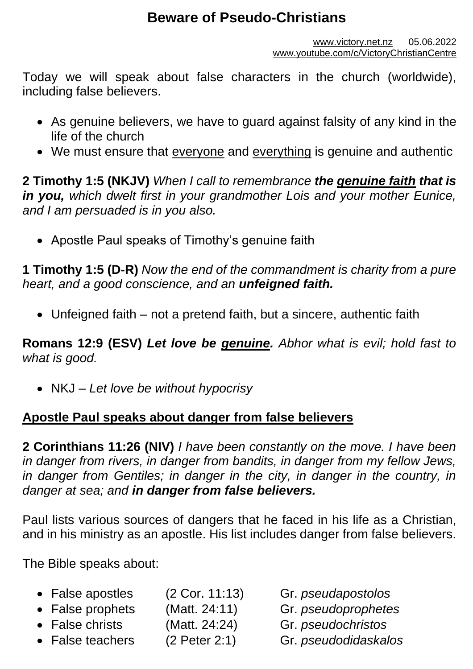# **Beware of Pseudo-Christians**

[www.victory.net.nz](http://www.victory.net.nz/) 05.06.2022 [www.youtube.com/c/VictoryChristianCentre](http://www.youtube.com/c/VictoryChristianCentre)

Today we will speak about false characters in the church (worldwide), including false believers.

- As genuine believers, we have to guard against falsity of any kind in the life of the church
- We must ensure that everyone and everything is genuine and authentic

**2 Timothy 1:5 (NKJV)** *When I call to remembrance the genuine faith that is in you, which dwelt first in your grandmother Lois and your mother Eunice, and I am persuaded is in you also.*

• Apostle Paul speaks of Timothy's genuine faith

**1 Timothy 1:5 (D-R)** *Now the end of the commandment is charity from a pure heart, and a good conscience, and an unfeigned faith.*

• Unfeigned faith – not a pretend faith, but a sincere, authentic faith

**Romans 12:9 (ESV)** *Let love be genuine. Abhor what is evil; hold fast to what is good.*

• NKJ – *Let love be without hypocrisy* 

#### **Apostle Paul speaks about danger from false believers**

**2 Corinthians 11:26 (NIV)** *I have been constantly on the move. I have been in danger from rivers, in danger from bandits, in danger from my fellow Jews,*  in danger from Gentiles; in danger in the city, in danger in the country, in *danger at sea; and in danger from false believers.*

Paul lists various sources of dangers that he faced in his life as a Christian, and in his ministry as an apostle. His list includes danger from false believers.

The Bible speaks about:

- False apostles (2 Cor. 11:13) Gr. *pseudapostolos*
- False prophets (Matt. 24:11) Gr. *pseudoprophetes*
- False christs (Matt. 24:24) Gr. *pseudochristos*
- False teachers (2 Peter 2:1) Gr. *pseudodidaskalos*
- 
- 
- -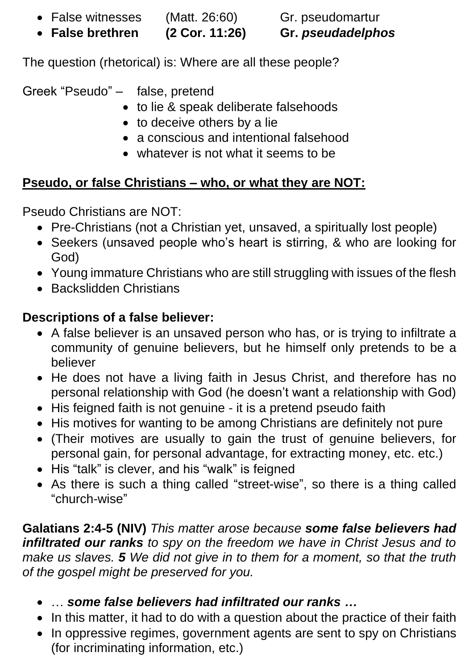• False witnesses (Matt. 26:60) Gr. pseudomartur

• **False brethren (2 Cor. 11:26) Gr.** *pseudadelphos*

The question (rhetorical) is: Where are all these people?

Greek "Pseudo" – false, pretend

- to lie & speak deliberate falsehoods
- to deceive others by a lie
- a conscious and intentional falsehood
- whatever is not what it seems to be

## **Pseudo, or false Christians – who, or what they are NOT:**

Pseudo Christians are NOT:

- Pre-Christians (not a Christian yet, unsaved, a spiritually lost people)
- Seekers (unsaved people who's heart is stirring, & who are looking for God)
- Young immature Christians who are still struggling with issues of the flesh
- Backslidden Christians

## **Descriptions of a false believer:**

- A false believer is an unsaved person who has, or is trying to infiltrate a community of genuine believers, but he himself only pretends to be a believer
- He does not have a living faith in Jesus Christ, and therefore has no personal relationship with God (he doesn't want a relationship with God)
- His feigned faith is not genuine it is a pretend pseudo faith
- His motives for wanting to be among Christians are definitely not pure
- (Their motives are usually to gain the trust of genuine believers, for personal gain, for personal advantage, for extracting money, etc. etc.)
- His "talk" is clever, and his "walk" is feigned
- As there is such a thing called "street-wise", so there is a thing called "church-wise"

**Galatians 2:4-5 (NIV)** *This matter arose because some false believers had infiltrated our ranks to spy on the freedom we have in Christ Jesus and to make us slaves. 5 We did not give in to them for a moment, so that the truth of the gospel might be preserved for you.*

- … *some false believers had infiltrated our ranks …*
- In this matter, it had to do with a question about the practice of their faith
- In oppressive regimes, government agents are sent to spy on Christians (for incriminating information, etc.)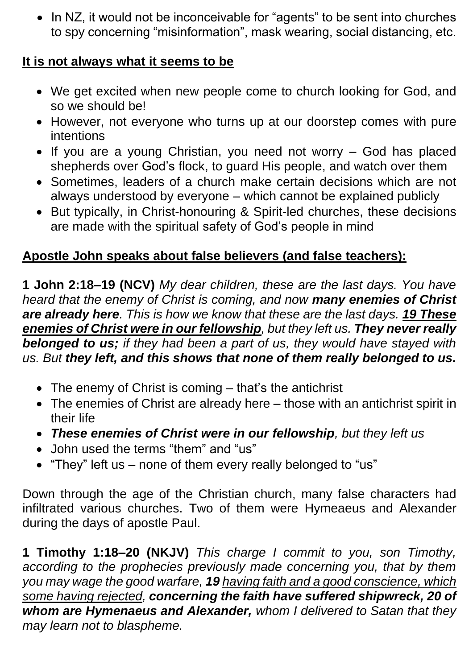• In NZ, it would not be inconceivable for "agents" to be sent into churches to spy concerning "misinformation", mask wearing, social distancing, etc.

#### **It is not always what it seems to be**

- We get excited when new people come to church looking for God, and so we should be!
- However, not everyone who turns up at our doorstep comes with pure intentions
- If you are a young Christian, you need not worry God has placed shepherds over God's flock, to guard His people, and watch over them
- Sometimes, leaders of a church make certain decisions which are not always understood by everyone – which cannot be explained publicly
- But typically, in Christ-honouring & Spirit-led churches, these decisions are made with the spiritual safety of God's people in mind

### **Apostle John speaks about false believers (and false teachers):**

**1 John 2:18–19 (NCV)** *My dear children, these are the last days. You have heard that the enemy of Christ is coming, and now many enemies of Christ are already here. This is how we know that these are the last days. 19 These enemies of Christ were in our fellowship, but they left us. They never really belonged to us; if they had been a part of us, they would have stayed with us. But they left, and this shows that none of them really belonged to us.*

- The enemy of Christ is coming that's the antichrist
- The enemies of Christ are already here those with an antichrist spirit in their life
- *These enemies of Christ were in our fellowship, but they left us*
- John used the terms "them" and "us"
- "They" left us none of them every really belonged to "us"

Down through the age of the Christian church, many false characters had infiltrated various churches. Two of them were Hymeaeus and Alexander during the days of apostle Paul.

**1 Timothy 1:18–20 (NKJV)** *This charge I commit to you, son Timothy, according to the prophecies previously made concerning you, that by them you may wage the good warfare, 19 having faith and a good conscience, which some having rejected, concerning the faith have suffered shipwreck, 20 of whom are Hymenaeus and Alexander, whom I delivered to Satan that they may learn not to blaspheme.*